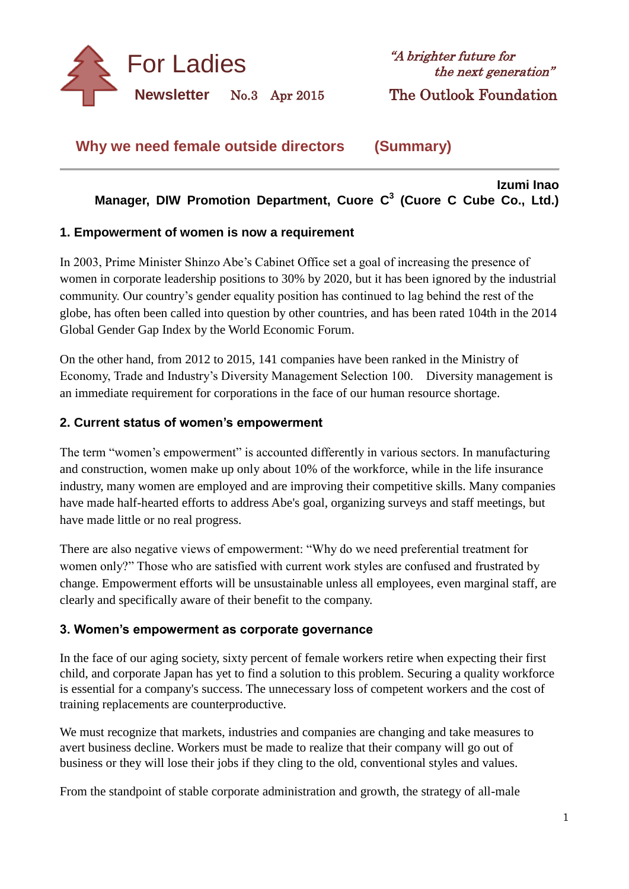

**Izumi Inao**

**Why we need female outside directors (Summary)**

# **Manager, DIW Promotion Department, Cuore C 3 (Cuore C Cube Co., Ltd.)**

#### **1. Empowerment of women is now a requirement**

In 2003, Prime Minister Shinzo Abe's Cabinet Office set a goal of increasing the presence of women in corporate leadership positions to 30% by 2020, but it has been ignored by the industrial community. Our country's gender equality position has continued to lag behind the rest of the globe, has often been called into question by other countries, and has been rated 104th in the 2014 Global Gender Gap Index by the World Economic Forum.

On the other hand, from 2012 to 2015, 141 companies have been ranked in the Ministry of Economy, Trade and Industry's Diversity Management Selection 100. Diversity management is an immediate requirement for corporations in the face of our human resource shortage.

### **2. Current status of women's empowerment**

The term "women's empowerment" is accounted differently in various sectors. In manufacturing and construction, women make up only about 10% of the workforce, while in the life insurance industry, many women are employed and are improving their competitive skills. Many companies have made half-hearted efforts to address Abe's goal, organizing surveys and staff meetings, but have made little or no real progress.

There are also negative views of empowerment: "Why do we need preferential treatment for women only?" Those who are satisfied with current work styles are confused and frustrated by change. Empowerment efforts will be unsustainable unless all employees, even marginal staff, are clearly and specifically aware of their benefit to the company.

### **3. Women's empowerment as corporate governance**

In the face of our aging society, sixty percent of female workers retire when expecting their first child, and corporate Japan has yet to find a solution to this problem. Securing a quality workforce is essential for a company's success. The unnecessary loss of competent workers and the cost of training replacements are counterproductive.

We must recognize that markets, industries and companies are changing and take measures to avert business decline. Workers must be made to realize that their company will go out of business or they will lose their jobs if they cling to the old, conventional styles and values.

From the standpoint of stable corporate administration and growth, the strategy of all-male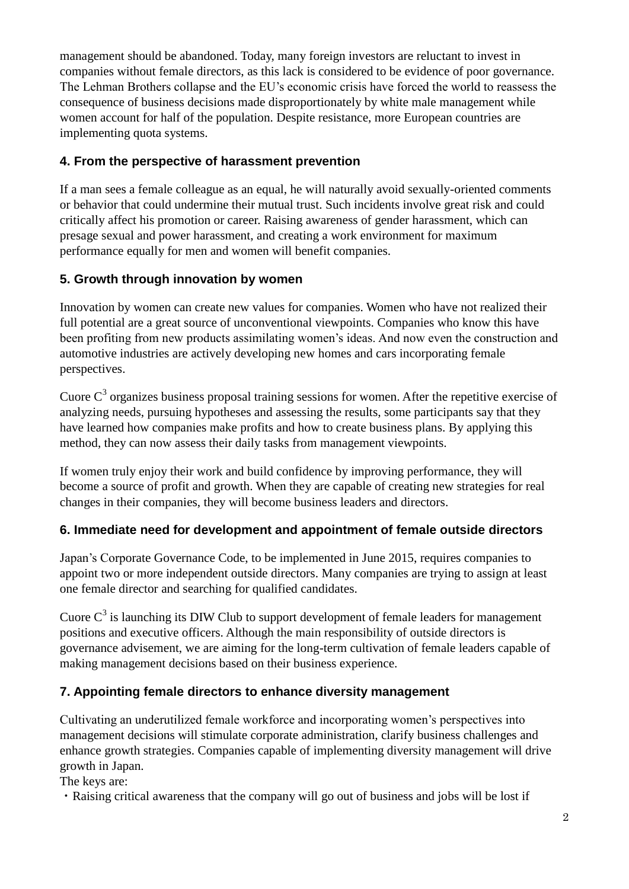management should be abandoned. Today, many foreign investors are reluctant to invest in companies without female directors, as this lack is considered to be evidence of poor governance. The Lehman Brothers collapse and the EU's economic crisis have forced the world to reassess the consequence of business decisions made disproportionately by white male management while women account for half of the population. Despite resistance, more European countries are implementing quota systems.

### **4. From the perspective of harassment prevention**

If a man sees a female colleague as an equal, he will naturally avoid sexually-oriented comments or behavior that could undermine their mutual trust. Such incidents involve great risk and could critically affect his promotion or career. Raising awareness of gender harassment, which can presage sexual and power harassment, and creating a work environment for maximum performance equally for men and women will benefit companies.

## **5. Growth through innovation by women**

Innovation by women can create new values for companies. Women who have not realized their full potential are a great source of unconventional viewpoints. Companies who know this have been profiting from new products assimilating women's ideas. And now even the construction and automotive industries are actively developing new homes and cars incorporating female perspectives.

Cuore  $C<sup>3</sup>$  organizes business proposal training sessions for women. After the repetitive exercise of analyzing needs, pursuing hypotheses and assessing the results, some participants say that they have learned how companies make profits and how to create business plans. By applying this method, they can now assess their daily tasks from management viewpoints.

If women truly enjoy their work and build confidence by improving performance, they will become a source of profit and growth. When they are capable of creating new strategies for real changes in their companies, they will become business leaders and directors.

# **6. Immediate need for development and appointment of female outside directors**

Japan's Corporate Governance Code, to be implemented in June 2015, requires companies to appoint two or more independent outside directors. Many companies are trying to assign at least one female director and searching for qualified candidates.

Cuore  $C^3$  is launching its DIW Club to support development of female leaders for management positions and executive officers. Although the main responsibility of outside directors is governance advisement, we are aiming for the long-term cultivation of female leaders capable of making management decisions based on their business experience.

# **7. Appointing female directors to enhance diversity management**

Cultivating an underutilized female workforce and incorporating women's perspectives into management decisions will stimulate corporate administration, clarify business challenges and enhance growth strategies. Companies capable of implementing diversity management will drive growth in Japan.

The keys are:

・Raising critical awareness that the company will go out of business and jobs will be lost if